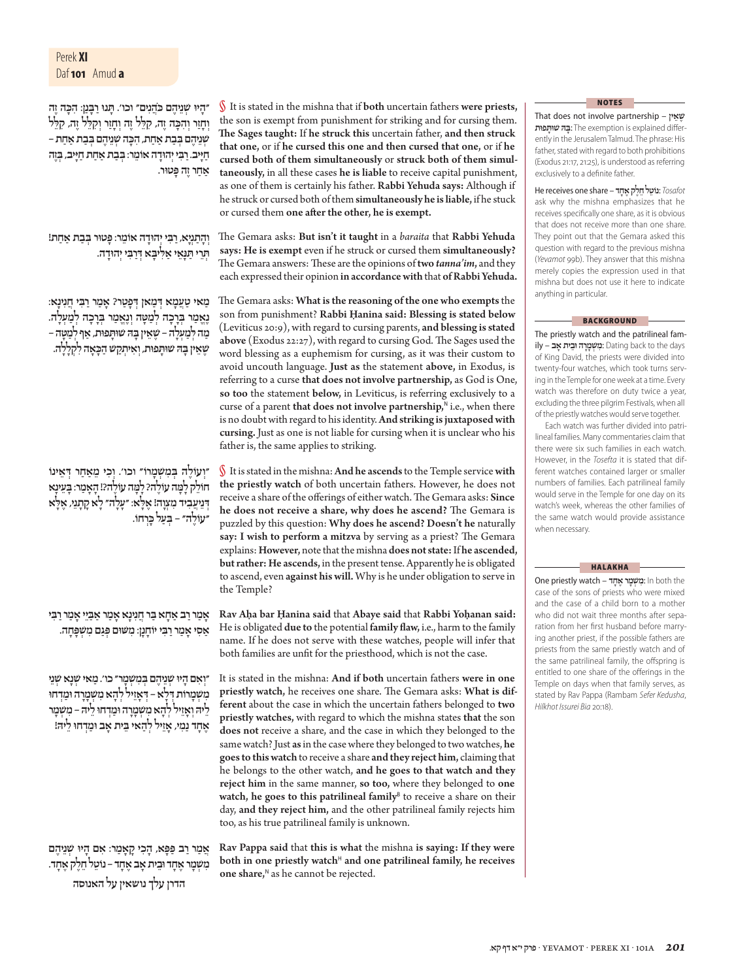Perek **XI** Daf **101** Amud **a**

**ּכה ֶזה ָ״ה ּיו ׁ ְשֵנ ֶיהם ּכֲֹהִנים״ וכו׳. ָּת ּנוַרָּבַנן: ִהָ ּכה ֶזה, ִקֵּלל ֶזה ְוָחַזר ְו ִקֵּלל ֶזה, ִקֵּלל ְוָחַזר ְו ִהָ ּכה ׁ ְשֵנ ֶיהם ְּבַבת ַאַחת – ׁ ְשֵנ ֶיהם ְּבַבת ַאַחת, ִהָ ַחָיּיב. ַרִּבי ְי ּהוָדה ֵאוֹמר: ְּבַבת ַאַחת ַחָיּיב, ְּבֶזה ַאַחרֶזה ָּפ ּטור.** 

**ְוָהַתְנָיא, ַרִּבי ְי ּהוָדה ֵאוֹמר: ָּפ ּטור ְּבַבת ַאַחת! ְּתֵרי ַּתָּנֵאי ַאִּל ָּיבא ְ ּדַרִּבי ְי ּהוָדה.**

**ַמאי ַטֲעָמא ְ ּדַמאן ְ ּדָפַטר? ָאַמרַרִּבי ֲחִנָינא: ֶנֱאַמר ְּבָרָכה ְלַמ ָּטה ְוֶנֱאַמר ְּבָרָכה ְלַמ ְעָלה. ּלַמ ְעָלה – ֶׁשֵאין ָּב ּה ׁשּו ָּת ּפות, ַאף ְלַמ ָּטה – ַמה ְ ּכָאה ִל ְקָלָלה. ֶׁשֵאין ָּב ּה ׁשּו ָּת ּפות, ְו ִא ְיתַקׁש ַהָ**

**ְ״ו ֶעוֹלה ְּב ִמׁ ְשָמרוֹ״ וכו׳. ְו ִכי ֵמַאַחר ְ ּדֵאינוֹ ֵחוֹלק ָל ָּמה ֶעוֹלה? ָל ָּמה ֶעוֹלה?! ָהָאַמר: ָּבֵע ָינא ּלא ְ ּדֵנֲיע ִביד ִמ ְצָוה! ֶאָּלא: ָ״עָלה״ ָלאָקָתֵני, ֶאָ ּכְרחוֹ. ֶ ״עוֹלה״ – ְּבַעל ָ**

**ָאַמרַרב ַאָחא ַּברֲחִנָינא ָאַמר ַאַּבֵיי ָאַמרַרִּבי ַא ִסי ָאַמרַרִּבי ָ יוֹחָנן: ִמּׁשּום ְּפַגם ִמׁ ְשָּפָחה.**

**ְ״ו ִאם ָה ּיו ׁ ְשֵנ ֶיהם ְּב ִמׁ ְשָמר״ כו׳. ַמאי ׁ ְשָנא ׁ ְשֵני ִמׁ ְשָמרוֹת ְ ּדָלא – ְ ּדָאֵזיל ְלָהא ִמׁ ְשָמָרה ּוַמְד ּחו ֵל ּיה ְוָאֵזיל ְלָהא ִמׁ ְשָמָרה ּוַמְד ּחו ֵל ּיה – ִמׁ ְשָמר ֶאָחד ַנִמי, ָאֵזיל ְלַהאי ֵּבית ָאב ּוַמְד ּחו ֵל ּיה!** 

**ֲאַמרַרב ַּפ ָּפא, ָה ִכי ָקָאַמר: ִאם ָה ּיו ׁ ְשֵנ ֶיהם ִמׁ ְשָמר ֶאָחד ּוֵבית ָאב ֶאָחד – ֵ נוֹטל ֵחֶלק ֶאָחד. הדרן עלך נושאין על האנוסה**

§ It is stated in the mishna that if **both** uncertain fathers **were priests,**  the son is exempt from punishment for striking and for cursing them. **Th e Sages taught:** If **he struck this** uncertain father, **and then struck that one,** or if **he cursed this one and then cursed that one,** or if **he cursed both of them simultaneously** or **struck both of them simultaneously,** in all these cases **he is liable** to receive capital punishment, as one of them is certainly his father. **Rabbi Yehuda says:** Although if he struck or cursed both of them **simultaneously he is liable,** if he stuck or cursed them **one aft er the other, he is exempt.**

The Gemara asks: But isn't it taught in a *baraita* that Rabbi Yehuda **says: He is exempt** even if he struck or cursed them **simultaneously?**  The Gemara answers: These are the opinions of two *tanna'im*, and they each expressed their opinion **in accordance with** that **of Rabbi Yehuda.**

The Gemara asks: What is the reasoning of the one who exempts the son from punishment? **Rabbi Ĥanina said: Blessing is stated below**  (Leviticus 20:9), with regard to cursing parents, and blessing is stated above (Exodus 22:27), with regard to cursing God. The Sages used the word blessing as a euphemism for cursing, as it was their custom to avoid uncouth language. **Just as** the statement **above,** in Exodus, is referring to a curse **that does not involve partnership,** as God is One, **so too** the statement **below,** in Leviticus, is referring exclusively to a curse of a parent **that does not involve partnership**,<sup>N</sup> i.e., when there is no doubt with regard to his identity. And striking is juxtaposed with **cursing.** Just as one is not liable for cursing when it is unclear who his father is, the same applies to striking.

§ It is stated in the mishna: **And he ascends** to the Temple service **with the priestly watch** of both uncertain fathers. However, he does not receive a share of the offerings of either watch. The Gemara asks: Since he does not receive a share, why does he ascend? The Gemara is puzzled by this question: **Why does he ascend? Doesn't he** naturally say: I wish to perform a mitzva by serving as a priest? The Gemara explains: **However,** note that the mishna **does not state:** If **he ascended, but rather: He ascends,** in the present tense. Apparently he is obligated to ascend, even **against his will.** Why is he under obligation to serve in the Temple?

**Rav Aĥa bar Ĥanina said** that **Abaye said** that **Rabbi Yoĥanan said:**  He is obligated **due to** the potential **family fl aw,** i.e., harm to the family name. If he does not serve with these watches, people will infer that both families are unfit for the priesthood, which is not the case.

It is stated in the mishna: **And if both** uncertain fathers **were in one**  priestly watch, he receives one share. The Gemara asks: What is dif**ferent** about the case in which the uncertain fathers belonged to **two priestly watches,** with regard to which the mishna states **that** the son **does not** receive a share, and the case in which they belonged to the same watch? Just **as** in the case where they belonged to two watches, **he goes to this watch** to receive a share **and they reject him,** claiming that he belongs to the other watch, **and he goes to that watch and they reject him** in the same manner, **so too,** where they belonged to **one watch, he goes to this patrilineal family<sup>B</sup> to receive a share on their** day, **and they reject him,** and the other patrilineal family rejects him too, as his true patrilineal family is unknown.

**Rav Pappa said** that **this is what** the mishna **is saying: If they were**  both in one priestly watch<sup>H</sup> and one patrilineal family, he receives one share,<sup>N</sup> as he cannot be rejected.

**NOTES**

 That does not involve partnership – **איןֵשֶׁ פותּ תָּ וּשׁ הּ בָּ**: The exemption is explained differently in the Jerusalem Talmud. The phrase: His father, stated with regard to both prohibitions (Exodus 21:17, 21:25), is understood as referring exclusively to a definite father.

*Tosafot* : **ֵ נוֹטל ֵחֶלק ֶאָחד** – share one receives He ask why the mishna emphasizes that he receives specifically one share, as it is obvious that does not receive more than one share. They point out that the Gemara asked this question with regard to the previous mishna (*Yevamot* 99b). They answer that this mishna merely copies the expression used in that mishna but does not use it here to indicate anything in particular.

#### **BACKGROUND**

 The priestly watch and the patrilineal family – **אבָ ביתֵוּ רהָמָשְ ׁמִ** : Dating back to the days of King David, the priests were divided into twenty-four watches, which took turns serving in the Temple for one week at a time. Every watch was therefore on duty twice a year, excluding the three pilgrim Festivals, when all of the priestly watches would serve together.

Each watch was further divided into patrilineal families. Many commentaries claim that there were six such families in each watch. However, in the *Tosefta* it is stated that different watches contained larger or smaller numbers of families. Each patrilineal family would serve in the Temple for one day on its watch's week, whereas the other families of the same watch would provide assistance when necessary.

#### **HALAKHA**

 One priestly watch – **חדָאֶ מרָשְ ׁמִ** : In both the case of the sons of priests who were mixed and the case of a child born to a mother who did not wait three months after separation from her first husband before marrying another priest, if the possible fathers are priests from the same priestly watch and of the same patrilineal family, the offspring is entitled to one share of the offerings in the Temple on days when that family serves, as stated by Rav Pappa (Rambam *Sefer Kedusha*, *Hilkhot Issurei Bia* 20:18).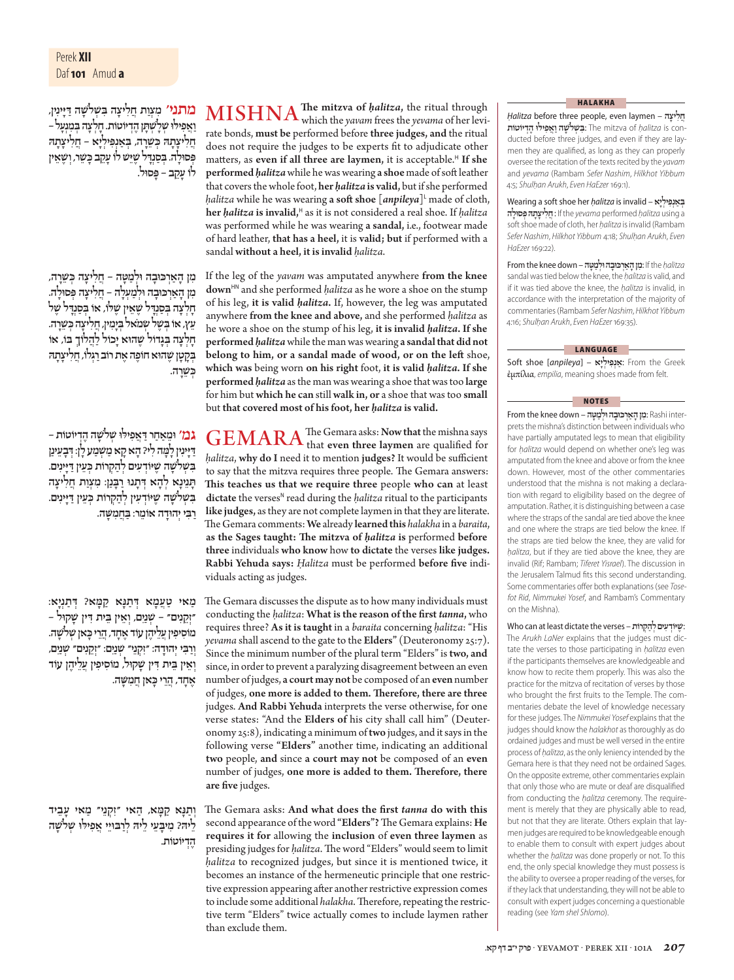<mark>מתני′</mark> מִצְוַת חֲלִיצָה בִּשְּׁלֹשֶׁה דַּיָּיִיִּן,<br>וַאֲפִיּלוּ שְׁלֵשְׁתֵּן הֵדִיוּטוֹת. חַלְצַה בִּמְנְעַל – **ּכֵׁשָרה, ְּבַאְנִּפ ְילָיא – ֲח ִל ָיצָת ּה ֲח ִל ָיצָת ּה ְ ּכֵׁשר, ְו ֶׁשֵאין ְּפ ּסוָלה. ְּבַסְנָּדל ֶׁשֵיּׁשלוֹ ָעֵקב ָ לוֹ ָעֵקב – ָּפ ּסול.**

**ּכֵׁשָרה, ִמן ָהַאְרּכּוָבה ּו ְלַמ ָּטה – ֲח ִל ָיצה ְ ִמן ָהַאְרּכּוָבה ּוְלַמ ְעָלה – ֲח ִל ָיצה ְּפ ּסוָלה. ָח ְלָצה ְּבַסְנָּדל ֶׁשֵאין ֶׁשּלוֹ, אוֹ ְּבַסְנָּדל ֶׁשל ּכֵׁשָרה. ֵעץ, אוֹ ְּבֶׁשל ְׂשמֹאל ְּבָי ִמין, ֲחִל ָיצה ְ ָח ְלָצה ְּבָגדוֹל ֶׁש ּהואָיכוֹל ַלֲה ְלוֹך ּבוֹ, אוֹ ְּבָקָטן ֶׁש ּהוא ֶחוֹפה ֶאת רוֹבַרְגלוֹ, ֲחִל ָיצָת ּה ּכֵׁשָרה. ְ**

**גמ׳ ּוֵמַאַחרַּדֲא ִפ ּילּו ׁ ְשלֹ ָׁשה ֶהְדיוֹטוֹת – ַּדָיּ ִינין ָל ָּמה ִלי? ָהאָקא ַמׁ ְשַמע ָלן: ְ ּדָבֵע ַינן ּכֵעין ַּדָיּ ִינים. ִּבׁ ְשלֹ ָׁשה ֶׁש ְ יּוֹד ִעים ְלַה ְקרוֹת ְ ָּתֵנָינא ְלָהא ְ ּדָת ּנו ַרָּבַנן: ִמ ְצַות ֲח ִל ָיצה ּכֵעין ַּדָיּ ִינים. ִּבׁ ְשלֹ ָׁשה ֶׁש ְ יּוֹד ִעין ְלַה ְקרוֹת ְ ַרִּבי ְי ּהוָדה ֵאוֹמר: ַּבֲח ִמָּׁשה.**

**ַמאי ַטֲעָמא ְ ּדַתָּנא ַק ָּמא? ְ ּדַתְנָיא: ְ״זֵקִנים״ – ׁ ְשַנִים, ְוֵאין ֵּבית ִ ּדין ָׁש ּקול – ּכאן ׁ ְשלֹ ָׁשה. ִמוֹס ִיפיןֲעֵל ֶיהן עוֹד ֶאָחד, ֲהֵרי ָ ְוַרִּבי ְי ּהוָדה: ִ״ז ְקֵני״ ׁ ְשַנִים: ְ״זֵקִנים״ ׁ ְשַנִים, ְוֵאין ֵּבית ִ ּדין ָׁש ּקול, ִמוֹס ִיפין ֲעֵל ֶיהן עוֹד ּכאןֲח ִמָּׁשה. ֶאָחד, ֲהֵרי ָ**

**ְוַתָּנא ַק ָּמא, ַהאי ִ״ז ְקֵני״ ַמאי ָעֵביד ֵל ּיה? ִמ ָּיבֵעי ֵל ּיה ְלַרּבּוֵיי ֲא ִפ ּילּו ׁ ְשלֹ ָׁשה ֶהְדיוֹטוֹת.**

 $\bf{MISHNA}^{\text{The mitzva of *halitza,* the ritual through the *gamma-free* tree.}$ rate bonds, **must be** performed before **three judges, and** the ritual does not require the judges to be experts fit to adjudicate other matters, as **even if all three are laymen**, it is acceptable.<sup>H</sup> If she **performed** *ĥalitza*while he was wearing **a shoe** made of soft leather that covers the whole foot, **her** *ĥalitza* **is valid,** but if she performed *ĥalitza* while he was wearing **a soft shoe [***anpileya***]**<sup>L</sup>made of cloth, **her** *ĥalitza* **is invalid,**<sup>H</sup>as it is not considered a real shoe. If *ĥalitza* was performed while he was wearing **a sandal,** i.e., footwear made of hard leather, **that has a heel,** it is **valid; but** if performed with a sandal **without a heel, it is invalid** *ĥalitza*.

If the leg of the *yavam* was amputated anywhere **from the knee**  down<sup>HN</sup> and she performed *halitza* as he wore a shoe on the stump of his leg, **it is valid** *ĥalitza***.** If, however, the leg was amputated anywhere **from the knee and above,** and she performed *ĥalitza* as he wore a shoe on the stump of his leg, **it is invalid** *ĥalitza***. If she performed** *ĥalitza*while the man was wearing **a sandal that did not belong to him, or a sandal made of wood, or on the left** shoe, **which was** being worn **on his right** foot, **it is valid** *ĥalitza***. If she performed** *ĥalitza* as the man was wearing a shoe thatwas too **large**  for him but **which he can** still **walk in, or** a shoe that was too **small**  but **that covered most of his foot, her** *ĥalitza* **is valid.**

**GEMARA** The Gemara asks: Now that the mishna says **GEMARA** that **even three laymen** are qualified for *halitza*, why do I need it to mention judges? It would be sufficient to say that the mitzva requires three people. The Gemara answers: **Th is teaches us that we require three** people **who can** at least dictate the verses<sup>N</sup> read during the *halitza* ritual to the participants **like judges,** as they are not complete laymen in that they are literate. Th e Gemara comments: **We** already **learned this** *halakha* in a *baraita*, **as the Sages taught: Th e mitzva of** *ĥalitza* **is** performed **before three** individuals **who know** how **to dictate** the verses **like judges. Rabbi Yehuda says:** *Ĥalitza* must be performed **before fi ve** individuals acting as judges.

The Gemara discusses the dispute as to how many individuals must conducting the *ĥalitza*: **What is the reason of the fi rst** *tanna***,** who requires three? **As it is taught** in a *baraita* concerning *ĥalitza*: "His *yevama* shall ascend to the gate to the Elders" (Deuteronomy 25:7). Since the minimum number of the plural term "Elders" is **two, and**  since, in order to prevent a paralyzing disagreement between an even number of judges, **a court may not** be composed of an **even** number of judges, **one more is added to them. Th erefore, there are three**  judges. **And Rabbi Yehuda** interprets the verse otherwise, for one verse states: "And the **Elders of** his city shall call him" (Deuteronomy ƦƩ:Ƭ), indicating a minimum of**two** judges, and it says in the following verse **"Elders"** another time, indicating an additional **two** people, **and** since **a court may not** be composed of an **even**  number of judges, **one more is added to them. Th erefore, there are fi ve** judges.

The Gemara asks: And what does the first *tanna* do with this second appearance of the word "Elders"? The Gemara explains: He **requires it for** allowing the **inclusion** of **even three laymen** as presiding judges for *halitza*. The word "Elders" would seem to limit *ĥalitza* to recognized judges, but since it is mentioned twice, it becomes an instance of the hermeneutic principle that one restrictive expression appearing after another restrictive expression comes to include some additional *halakha*. Therefore, repeating the restrictive term "Elders" twice actually comes to include laymen rather than exclude them.

# **HALAKHA**

*Ĥalitza* before three people, even laymen – **יצהָ לִחֲ דיוֹטוֹתְהֶ וּילּ פִ אֲוַשהָׁ ֹשלְ ׁבִּ** : The mitzva of *ĥalitza* is conducted before three judges, and even if they are laymen they are qualified, as long as they can properly oversee the recitation of the texts recited by the *yavam* and *yevama* (Rambam *Sefer Nashim*, *Hilkhot Yibbum* 4:5; *Shulĥan Arukh*, *Even HaEzer* 169:1).

 Wearing a soft shoe her *ĥalitza* is invalid – **יאָילְ פִּנְאַבְּ** a using *ĥalitza* performed *yevama* the If **ֲ**:**חִל ָיצָת ּה ְּפ ּסוָלה** soft shoe made of cloth, her *ĥalitza* is invalid (Rambam *Sefer Nashim*, *Hilkhot Yibbum* 4:18; *Shulĥan Arukh*, *Even HaEzer* 169:22).

*ĥalitza* the If : **ִמן ָהַאְרּכּוָבה ּוְלַמ ָּטה** – down knee the From sandal was tied below the knee, the *ĥalitza* is valid, and if it was tied above the knee, the *ĥalitza* is invalid, in accordance with the interpretation of the majority of commentaries (Rambam *Sefer Nashim*, *Hilkhot Yibbum* 4:16; *Shulĥan Arukh*, *Even HaEzer* 169:35).

#### **LANGUAGE**

 Soft shoe [*anpileya*] – **יאָילְ פִּנְאַ**: From the Greek έμπίλια, *empilia*, meaning shoes made from felt.

#### **NOTES**

 From the knee down – **טהָּ מַלְוּ בהָוּכּרְאַהָ מןִ** : Rashi interprets the mishna's distinction between individuals who have partially amputated legs to mean that eligibility for *ĥalitza* would depend on whether one's leg was amputated from the knee and above or from the knee down. However, most of the other commentaries understood that the mishna is not making a declaration with regard to eligibility based on the degree of amputation. Rather, it is distinguishing between a case where the straps of the sandal are tied above the knee and one where the straps are tied below the knee. If the straps are tied below the knee, they are valid for *ĥalitza*, but if they are tied above the knee, they are invalid (Rif; Rambam; *Tiferet Yisrael*). The discussion in the Jerusalem Talmud fits this second understanding. Some commentaries offer both explanations (see *Tosefot Rid*, *Nimmukei Yosef*, and Rambam's Commentary on the Mishna).

 Who can at least dictate the verses – **קרוֹתְ הַלְ עיםִ יּוֹדְ שֶׁ** : The *Arukh LaNer* explains that the judges must dictate the verses to those participating in *ĥalitza* even if the participants themselves are knowledgeable and know how to recite them properly. This was also the practice for the mitzva of recitation of verses by those who brought the first fruits to the Temple. The commentaries debate the level of knowledge necessary for these judges. The *Nimmukei Yosef* explains that the judges should know the *halakhot* as thoroughly as do ordained judges and must be well versed in the entire process of *ĥalitza*, as the only leniency intended by the Gemara here is that they need not be ordained Sages. On the opposite extreme, other commentaries explain that only those who are mute or deaf are disqualified from conducting the *ĥalitza* ceremony. The requirement is merely that they are physically able to read, but not that they are literate. Others explain that laymen judges are required to be knowledgeable enough to enable them to consult with expert judges about whether the *ĥalitza* was done properly or not. To this end, the only special knowledge they must possess is the ability to oversee a proper reading of the verses, for if they lack that understanding, they will not be able to consult with expert judges concerning a questionable reading (see *Yam shel Shlomo*).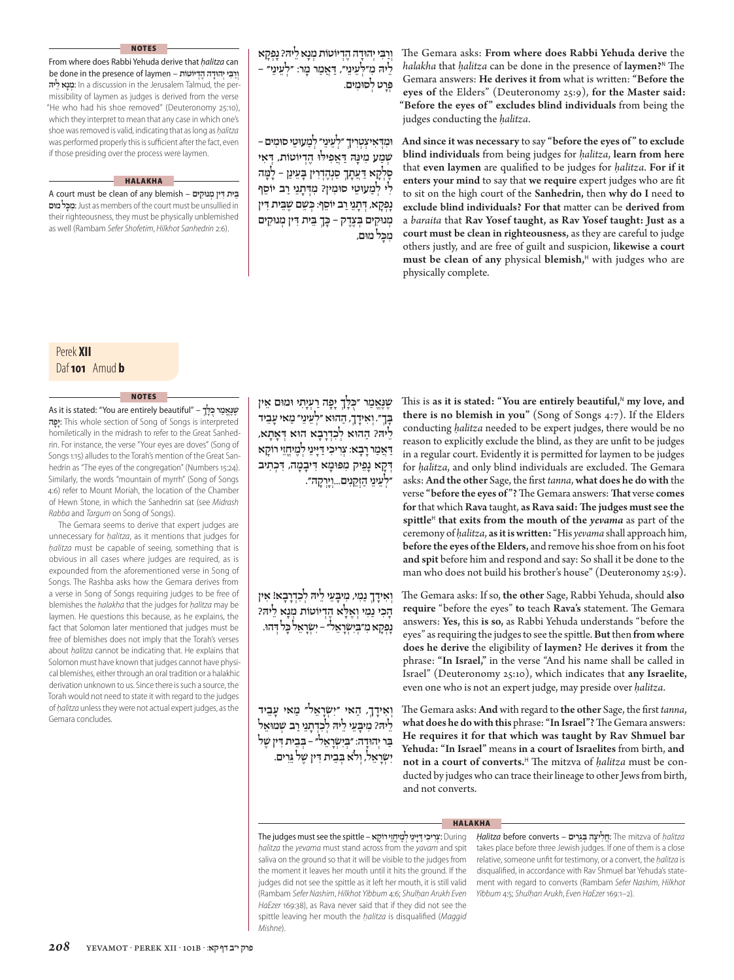# **NOTES**

 From where does Rabbi Yehuda derive that *ĥalitza* can *I* **וַרִּבִּי יְהוּדָה הֵדִיוֹטוֹת** – be done in the presence of laymen **יהּ לֵ נאָמְ** : In a discussion in the Jerusalem Talmud, the permissibility of laymen as judges is derived from the verse "He who had his shoe removed" (Deuteronomy 25:10), which they interpret to mean that any case in which one's shoe was removed is valid, indicating that as long as *ĥalitza* was performed properly this is sufficient after the fact, even if those presiding over the process were laymen.

#### **HALAKHA**

 A court must be clean of any blemish – **קיםִ נוּ מְ דיןּ ִ ביתֵּ מוםּ כלָּמִ** : Just as members of the court must be unsullied in their righteousness, they must be physically unblemished as well (Rambam *Sefer Shofetim*, *Hilkhot Sanhedrin* 2:6).

**ְוַרִּבי ְי ּהוָדה ֶהְדיוֹטוֹת ְמָנא ֵל ּיה? ָנְפָקא ּ״לֵע ֵיני״, ַּדֲאַמר ָמר: ְ״לֵע ֵיני״ – ֵל ּיה ִמ ְ ְּפָרט ְל ּסו ִמים.** 

**ּו ִמְ ּד ִא ְיצ ְטִר ְיך ְ״לֵע ֵיני״ ְלַמ ּעוֵטי ּסו ִמים – ׁ ְשַמע ִמ ָּינ ּה ַּדֲא ִפ ּיל ּו ֶהְדיוֹטוֹת, ְ ּד ִאי ָסְלָקא ַּדֲעָת ְך ַסְנֶהְדִרין ָּבֵע ַינן – ָל ָּמה ִלי ְלַמ ּעוֵטי ּסו ִמין? ִמְ ּדָתֵני ַרב ֵ יוֹסף ּכֵׁשם ֶׁשֵּבית ִ ּדין ָנְפָקא, ְ ּדָתֵניַרב ֵ יוֹסף: ְ ּכ ְך ֵּבית ִ ּדין ְמ ּנו ִקים ְמ ּנו ִקים ְּבֶצֶדק – ָ ּכל ּמום, ִמָ**

The Gemara asks: From where does Rabbi Yehuda derive the *halakha* that *halitza* can be done in the presence of **laymen?**<sup>N</sup> The Gemara answers: He derives it from what is written: "Before the eyes of the Elders" (Deuteronomy 25:9), for the Master said: **"Before the eyes of " excludes blind individuals** from being the judges conducting the *ĥalitza*.

**And since it was necessary** to say **"before the eyes of " to exclude blind individuals** from being judges for *ĥalitza*, **learn from here**  that even laymen are qualified to be judges for *halitza*. For if it **enters your mind** to say that **we require** expert judges who are fit to sit on the high court of the **Sanhedrin,** then **why do I** need **to**  exclude blind individuals? For that matter can be derived from a *baraita* that **Rav Yosef taught, as Rav Yosef taught: Just as a court must be clean in righteousness,** as they are careful to judge others justly, and are free of guilt and suspicion, **likewise a court**  must be clean of any physical blemish,<sup>H</sup> with judges who are physically complete.

# Perek **XII** Daf **101** Amud **b**

# **NOTES**

 As it is stated: "You are entirely beautiful" – **ךְ לָּכּ ֶׁשֶּנֱאַמר ֻפהָיָ**: This whole section of Song of Songs is interpreted homiletically in the midrash to refer to the Great Sanhedrin. For instance, the verse "Your eyes are doves" (Song of Songs 1:15) alludes to the Torah's mention of the Great Sanhedrin as "The eyes of the congregation" (Numbers 15:24). Similarly, the words "mountain of myrrh" (Song of Songs 4:6) refer to Mount Moriah, the location of the Chamber of Hewn Stone, in which the Sanhedrin sat (see *Midrash Rabba* and *Targum* on Song of Songs).

The Gemara seems to derive that expert judges are unnecessary for *ĥalitza*, as it mentions that judges for *ĥalitza* must be capable of seeing, something that is obvious in all cases where judges are required, as is expounded from the aforementioned verse in Song of Songs. The Rashba asks how the Gemara derives from a verse in Song of Songs requiring judges to be free of blemishes the *halakha* that the judges for *ĥalitza* may be laymen. He questions this because, as he explains, the fact that Solomon later mentioned that judges must be free of blemishes does not imply that the Torah's verses about *ĥalitza* cannot be indicating that. He explains that Solomon must have known that judges cannot have physical blemishes, either through an oral tradition or a halakhic derivation unknown to us. Since there is such a source, the Torah would not need to state it with regard to the judges of *ĥalitza* unless they were not actual expert judges, as the Gemara concludes.

**ּ״כָּל ְך ָיָפה ַרְעָי ִתי ּו ּמום ֵאין ֶׁשֶּנֱאַמר ֻ ָּב ְך״. ְו ִא ָיד ְך, ַה ּהוא ְ״לֵע ֵיני״ ַמאי ָעֵביד ֵל ּיה? ַה ּהוא ְל ִכְדָרָבא ּהוא ְ ּדָאָתא, ַּדֲאַמרָרָבא: ְצִר ִיכיַּדָיּ ֵיני ְלֶמ ֱיחֵזי ָרוֹקא ְ ּדָקא ָנֵפיק ִמּפּוָמא ִ ּד ָיבָמה, ִ ּד ְכ ִתיב ְ״לֵע ֵיני ַהְזֵּקִנים...ְוָיְרָקה״.** 

**ְו ִא ָיד ְך ַנִמי, ִמ ָּיבֵעי ֵל ּיה ְל ִכְדָרָבא! ִאין ּלא ֶהְדיוֹטוֹת ְמָנא ֵל ּיה? ָה ִכי ַנ ִמי ְוֶאָ ּכל ְ ּד ּהו. ָנְפָקא ִמ ְּ״בִי ְׂשָרֵאל״ – ִי ְׂשָרֵאל ָ**

**ְו ִא ָיד ְך, ַהאי ִ״י ְׂשָרֵאל״ ַמאי ָעֵביד ֵל ּיה? ִמ ָּיבֵעי ֵל ּיה ְל ִכְדָתֵניַרב ׁ ְש ּמוֵאל ַּבר ְי ּהוָדה: ְּ״בִי ְׂשָרֵאל״ – ְּבֵבית ִ ּדין ֶׁשל ִי ְׂשָרֵאל, ְולֹא ְּבֵבית ִ ּדין ֶׁשל ֵּגִרים.**  This is as it is stated: "You are entirely beautiful,<sup>N</sup> my love, and there is no blemish in you" (Song of Songs 4:7). If the Elders conducting *ĥalitza* needed to be expert judges, there would be no reason to explicitly exclude the blind, as they are unfit to be judges in a regular court. Evidently it is permitted for laymen to be judges for *halitza*, and only blind individuals are excluded. The Gemara asks: And the other Sage, the first *tanna*, what does he do with the verse "before the eyes of"? The Gemara answers: That verse comes **for** that which **Rava** taught, **as Rava said: Th e judges must see the spittle<sup>H</sup> that exits from the mouth of the** *yevama* **as part of the** ceremony of *ĥalitza*, **as it is writt en:** "His *yevama* shall approach him, **before the eyes of the Elders,** and remove his shoe from on his foot **and spit** before him and respond and say: So shall it be done to the man who does not build his brother's house" (Deuteronomy 25:9).

The Gemara asks: If so, the other Sage, Rabbi Yehuda, should also require "before the eyes" to teach Rava's statement. The Gemara answers: **Yes,** this **is so,** as Rabbi Yehuda understands "before the eyes" as requiring the judges to see the spittle. But then from where **does he derive** the eligibility of **laymen?** He **derives** it **from** the phrase: **"In Israel,"** in the verse "And his name shall be called in Israel" (Deuteronomy 25:10), which indicates that any Israelite, even one who is not an expert judge, may preside over *ĥalitza*.

The Gemara asks: And with regard to the other Sage, the first *tanna*, what does he do with this phrase: "In Israel"? The Gemara answers: **He requires it for that which was taught by Rav Shmuel bar Yehuda: "In Israel"** means **in a court of Israelites** from birth, **and**  not in a court of converts.<sup>H</sup> The mitzva of *halitza* must be conducted by judges who can trace their lineage to other Jews from birth, and not converts.

#### **HALAKHA**

 During : **ְצִר ִיכיַּדָיּ ֵיני ְלֶמ ֱיחֵזי ָרוֹקא** – spittle the see must judges The *ĥalitza* the *yevama* must stand across from the *yavam* and spit saliva on the ground so that it will be visible to the judges from the moment it leaves her mouth until it hits the ground. If the judges did not see the spittle as it left her mouth, it is still valid (Rambam *Sefer Nashim*, *Hilkhot Yibbum* 4:6; *Shulĥan Arukh Even HaEzer* 169:38), as Rava never said that if they did not see the spittle leaving her mouth the *ĥalitza* is disqualified (*Maggid Mishne*).

*Ĥalitza* before converts – **ריםִגֵבְּ יצהָ לִחֲ**: The mitzva of *ĥalitza* takes place before three Jewish judges. If one of them is a close relative, someone unfit for testimony, or a convert, the *ĥalitza* is disqualified, in accordance with Rav Shmuel bar Yehuda's statement with regard to converts (Rambam *Sefer Nashim*, *Hilkhot Yibbum* 4:5; *Shulĥan Arukh*, *Even HaEzer* 169:1–2).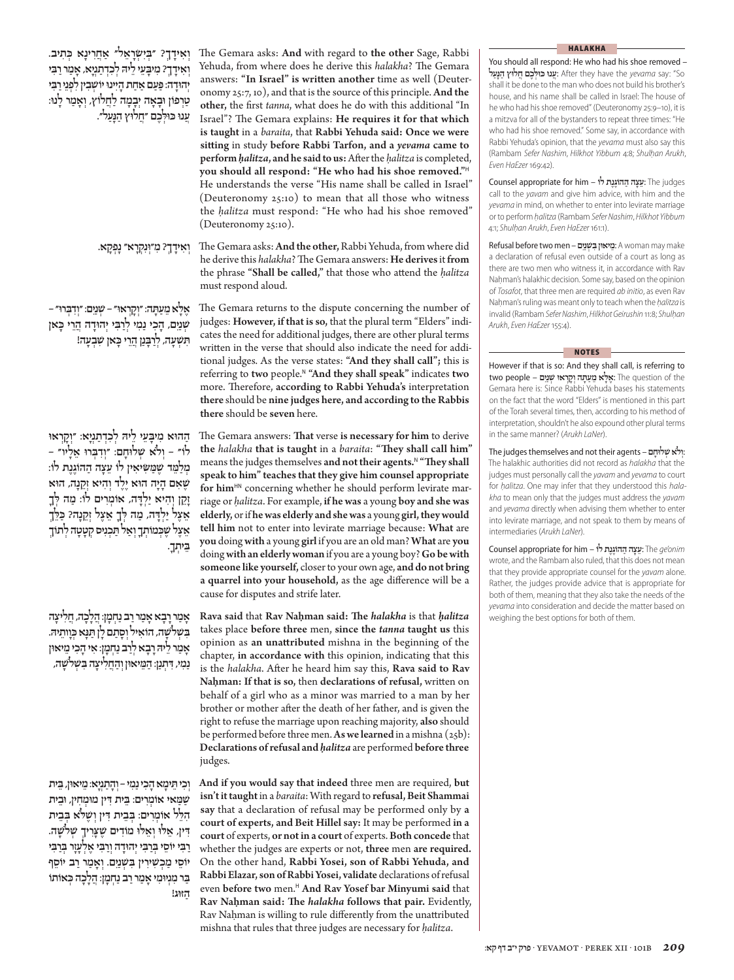**ּכ ִתיב. ְו ִא ָיד ְך? ְּ״בִי ְׂשָרֵאל״ ַאֲחִר ָינא ְ ְו ִא ָיד ְך? ִמ ָּיבֵעי ֵל ּיה ְל ִכְדַתְנָיא, ָאַמרַרִּבי ְי ּהוָדה: ַּפַעם ַאַחת ָהִי ּ ינו ׁ ְ יוֹשִבין ִל ְפֵניַרִּבי ַטְרפוֹן ּוָבָאה ְיָבָמה ַלֲחלוֹץ, ְוָאַמר ָל ּנו: ֲע ּנו ּכּוְּלֶכם ֲ״ח ּלוץ ַהָּנַעל״.** 

**ְו ִא ָיד ְך? ִמ ְּ״וִנְקָרא״ָנְפָקא.**

**ֶאָּלא ֵמַע ָּתה: ְ״וָקְר ּאו״ – ׁ ְשַנִים: ְ״וִד ְּב ּרו״ – ּכאן ׁ ְשַנִים, ָה ִכי ַנ ִמי ְלַרִּבי ְי ּהוָדה ֲהֵרי ָ ּכאן ׁ ִשְבָעה! ִּתׁ ְשָעה, ְלַרָּבַנןֲהֵרי ָ**

**ַה ּהוא ִמ ָּיבֵעי ֵל ּיה ְל ִכְדַתְנָיא: ְ״וָקְר ּאו לוֹ״ – ְולֹא ׁ ְש ּלוָחם: ְ״וִד ְּב ּרו ֵאָליו״ – ְמַל ֵּמד ֶׁשַּמ ִּׂש ִיאין לוֹ ֵעָצה ַה ֶהוֹגֶנת לוֹ: ֶׁש ִאם ָהָיה ּהוא ֶיֶלד ְו ִהיא ְזֵקָנה, ּהוא ָזֵקן ְו ִהיא ַי ְלָּדה, ְאוֹמִרים לוֹ: ַמה ְּלָך ּכֵּל ְך ֵאֶצל ַי ְלָּדה, ַמה ְּלָך ֵאֶצל ְזֵקָנה? ַ ּכ ְמוֹתָך ְוַאל ַּתְכִניס ְקָטָטה ְל ְתוֹך ֵאֶצל ֶׁשְ ֵּב ְיתָך.**

**ָאַמרָרָבא ָאַמרַרב ַנ ְחָמן: ֲהָלָכה, ֲחִל ָיצה ּכָו ֵות ּיה. ִּבׁ ְשלֹ ָׁשה, ִהוֹאיל ְוָסַתם ָלן ַּתָּנא ְ ָאַמרֵל ּיהָרָבא ְלַרב ַנ ְחָמן: ִאי ָה ִכי ֵמ ּ יאון ַנִמי, ִ ּד ְתַנן: ַה ֵּמ ּ יאון ְוַהֲח ִל ָיצה ִּבׁ ְשלֹ ָׁשה,** 

**ְו ִכי ֵּת ָימא ָה ִכי ַנִמי – ְוָהַתְנָיא: ֵמ ּ יאון, ֵּבית ַׁשַּמאי ְאוֹמִרים: ֵּבית ִ ּדין ּמו ְמ ִחין, ּוֵבית ִהֵּלל ְאוֹמִרים: ְּבֵבית ִ ּדין ְו ֶׁשּלֹא ְּבֵבית ִ ּדין, ֵא ּלּו ְוֵא ּלּו ִמוֹדים ֶׁשָּצִר ְיך ׁ ְשלֹ ָׁשה. ַרִּבי ֵ יוֹסי ְּבַרִּבי ְי ּהוָדה ְוַרִּבי ֶאְלָעָזר ְּבַרִּבי ֵ יוֹסי ַמ ְכׁ ִש ִירין ִּבׁ ְשַנִים. ְוָאַמרַרב ֵ יוֹסף ּכאוֹתוֹ ַּבר ִמְנ ּיו ִמי ָאַמרַרב ַנ ְחָמן: ֲהָלָכה ְ ַה ּזּוג!** The Gemara asks: And with regard to the other Sage, Rabbi Yehuda, from where does he derive this *halakha*? The Gemara answers: "In Israel" is written another time as well (Deuteronomy 25:7, 10), and that is the source of this principle. And the other, the first *tanna*, what does he do with this additional "In Israel"? The Gemara explains: He requires it for that which **is taught** in a *baraita*, that **Rabbi Yehuda said: Once we were sitt ing** in study **before Rabbi Tarfon, and a** *yevama* **came to perform** *ĥalitza***, and he said to us:** Aft er the *ĥalitza* is completed, **you should all respond: "He who had his shoe removed."**<sup>H</sup> He understands the verse "His name shall be called in Israel" (Deuteronomy  $25:10$ ) to mean that all those who witness the *ĥalitza* must respond: "He who had his shoe removed"  $(Deuteronomy 25:10).$ 

The Gemara asks: And the other, Rabbi Yehuda, from where did he derive this *halakha*? The Gemara answers: He derives it from the phrase "Shall be called," that those who attend the *halitza* must respond aloud.

> The Gemara returns to the dispute concerning the number of judges: **However, if that is so,** that the plural term "Elders" indicates the need for additional judges, there are other plural terms written in the verse that should also indicate the need for additional judges. As the verse states: **"And they shall call";** this is referring to **two** people.<sup>N</sup>**"And they shall speak"** indicates **two**  more. Therefore, according to Rabbi Yehuda's interpretation **there** should be **nine judges here, and according to the Rabbis there** should be **seven** here.

> The Gemara answers: That verse is necessary for him to derive **the** *halakha* **that is taught** in a *baraita*: **"Th ey shall call him"**  means the judges themselves **and not their agents.**<sup>N</sup>**"Th ey shall speak to him" teaches that they give him counsel appropriate**  for him<sup>HN</sup> concerning whether he should perform levirate marriage or *ĥalitza*. For example, **if he was** a young **boy and she was elderly,** or if **he was elderly and she was** a young **girl, they would tell him** not to enter into levirate marriage because: **What** are **you** doing **with** a young **girl** if you are an old man? **What** are **you**  doing **with an elderly woman** if you are a young boy? **Go be with someone like yourself,** closer to your own age, **and do not bring**  a quarrel into your household, as the age difference will be a cause for disputes and strife later.

> **Rava said** that **Rav Naĥman said: Th e** *halakha* is that *ĥalitza* takes place **before three** men, **since the** *tanna* **taught us** this opinion as **an unatt ributed** mishna in the beginning of the chapter, **in accordance with** this opinion, indicating that this is the *halakha*. After he heard him say this, Rava said to Rav Nahman: If that is so, then declarations of refusal, written on behalf of a girl who as a minor was married to a man by her brother or mother after the death of her father, and is given the right to refuse the marriage upon reaching majority, **also** should be performed before three men. As we learned in a mishna (25b): **Declarations of refusal and** *ĥalitza* are performed **before three**  judges.

> **And if you would say that indeed** three men are required, **but isn't it taught** in a *baraita*: With regard to **refusal, Beit Shammai say** that a declaration of refusal may be performed only by **a court of experts, and Beit Hillel say:** It may be performed **in a court** of experts, **or not in a court** of experts. **Both concede** that whether the judges are experts or not, **three** men **are required.**  On the other hand, **Rabbi Yosei, son of Rabbi Yehuda, and Rabbi Elazar, son of Rabbi Yosei, validate** declarations of refusal even **before two** men.<sup>H</sup>**And Rav Yosef bar Minyumi said** that **Rav Naĥman said: Th e** *halakha* **follows that pair.** Evidently, Rav Nahman is willing to rule differently from the unattributed mishna that rules that three judges are necessary for *ĥalitza*.

### **HALAKHA**

 You should all respond: He who had his shoe removed – So ":say *yevama* the have they After **ֲ**:**ע ּנו ּכּוְּלֶכם ֲח ּלוץ ַהָּנַעל** shall it be done to the man who does not build his brother's house, and his name shall be called in Israel: The house of he who had his shoe removed" (Deuteronomy 25:9–10), it is a mitzva for all of the bystanders to repeat three times: "He who had his shoe removed." Some say, in accordance with Rabbi Yehuda's opinion, that the *yevama* must also say this (Rambam *Sefer Nashim*, *Hilkhot Yibbum* 4:8; *Shulĥan Arukh*, *Even HaEzer* 169:42).

 judges The **ֵ**:**עָצה ַה ֶהוֹגֶנת לוֹ** – him for appropriate Counsel call to the *yavam* and give him advice, with him and the *yevama* in mind, on whether to enter into levirate marriage or to perform *ĥalitza* (Rambam *Sefer Nashim*, *Hilkhot Yibbum* 4:1; *Shulĥan Arukh*, *Even HaEzer* 161:1).

 Refusal before two men – **יםִנַשְ ׁבִּ יאון ּ מֵ**: A woman may make a declaration of refusal even outside of a court as long as there are two men who witness it, in accordance with Rav Naĥman's halakhic decision. Some say, based on the opinion of *Tosafot*, that three men are required *ab initio*, as even Rav Naĥman's ruling was meant only to teach when the *ĥalitza* is invalid (Rambam *Sefer Nashim*, *Hilkhot Geirushin* 11:8; *Shulĥan Arukh*, *Even HaEzer* 155:4).

### **NOTES**

 However if that is so: And they shall call, is referring to the of question The **ֶ**:**אָּלא ֵמַע ָּתה ְוָקְר ּאו ׁ ְשַנִים** – people two Gemara here is: Since Rabbi Yehuda bases his statements on the fact that the word "Elders" is mentioned in this part of the Torah several times, then, according to his method of interpretation, shouldn't he also expound other plural terms in the same manner? (*Arukh LaNer*).

 The judges themselves and not their agents – **חםָלוּ שְ ׁ אֹולְ**: The halakhic authorities did not record as *halakha* that the judges must personally call the *yavam* and *yevama* to court for *ĥalitza*. One may infer that they understood this *halakha* to mean only that the judges must address the *yavam* and *yevama* directly when advising them whether to enter into levirate marriage, and not speak to them by means of intermediaries (*Arukh LaNer*).

 Counsel appropriate for him – **לוֹ נתֶהוֹגֶ הַ צהָעֵ**: The *ge'onim* wrote, and the Rambam also ruled, that this does not mean that they provide appropriate counsel for the *yavam* alone. Rather, the judges provide advice that is appropriate for both of them, meaning that they also take the needs of the *yevama* into consideration and decide the matter based on weighing the best options for both of them.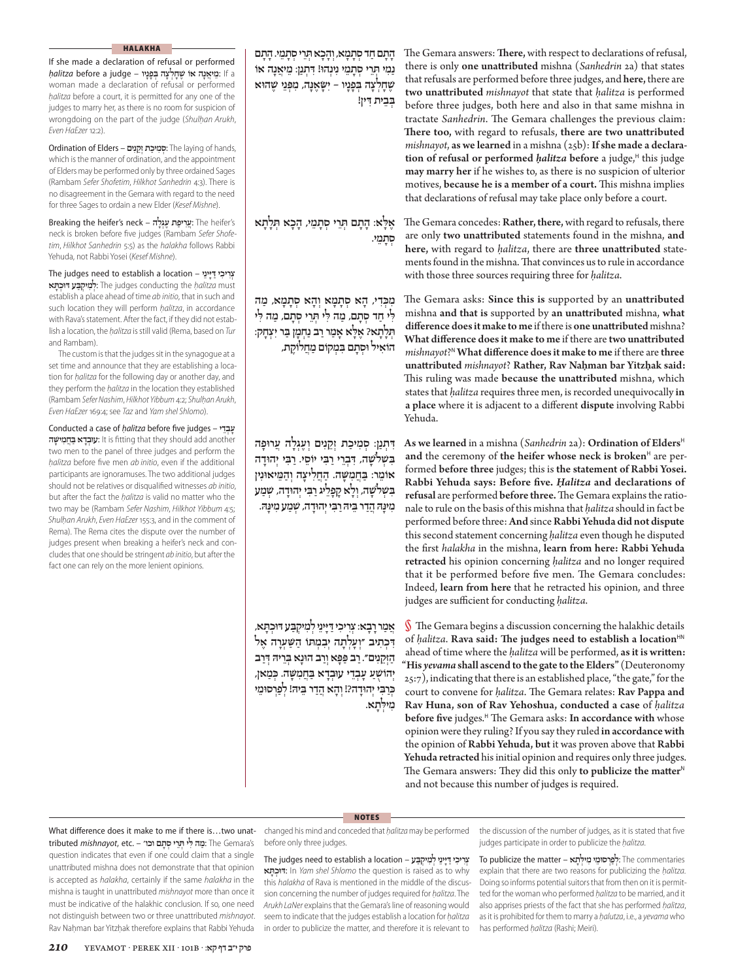| <b>HALAKHA</b><br>If she made a declaration of refusal or performed<br>halitza before a judge – שְׁחָלְצָה בְּפָנַיוּ (f a<br>woman made a declaration of refusal or performed<br>halitza before a court, it is permitted for any one of the<br>judges to marry her, as there is no room for suspicion of<br>wrongdoing on the part of the judge (Shulhan Arukh,<br>Even HaEzer 12:2).                                                                                                                                                                                                                                                                                                                                                                                                                                                                                                                                                                                                                                                                                                                                                                                                                                                                                                                                                                                                                                                                                                                                                                               | הַתָּם חַד סִתְמַא, וְהַכַא תְּרֵי סִתְמֵי. הַתָּם<br>נַמִי תְּרֵי סְתָמֵי נִינְהוּ! דְּתְנַן: מֵיאֲנָה אוֹ<br>שֶׁחָלְצָה בְּפָנָיו – יִשְּׂאֶנָּה, מִפְּנֵי שֶׁהוּא<br>בְּבִית דִּיוְ!                                                                                                           | The Gemara answers: There, with respect to declarations of refusal,<br>there is only one unattributed mishna (Sanhedrin 2a) that states<br>that refusals are performed before three judges, and here, there are<br>two unattributed mishnayot that state that halitza is performed<br>before three judges, both here and also in that same mishna in<br>tractate Sanhedrin. The Gemara challenges the previous claim:<br>There too, with regard to refusals, there are two unattributed<br>$mishnayot$ , as we learned in a mishna $(z_5b)$ : If she made a declara-<br>tion of refusal or performed <i>halitza</i> before a judge, <sup><math>#</math></sup> this judge<br>may marry her if he wishes to, as there is no suspicion of ulterior<br>motives, because he is a member of a court. This mishna implies<br>that declarations of refusal may take place only before a court.                                                                    |
|----------------------------------------------------------------------------------------------------------------------------------------------------------------------------------------------------------------------------------------------------------------------------------------------------------------------------------------------------------------------------------------------------------------------------------------------------------------------------------------------------------------------------------------------------------------------------------------------------------------------------------------------------------------------------------------------------------------------------------------------------------------------------------------------------------------------------------------------------------------------------------------------------------------------------------------------------------------------------------------------------------------------------------------------------------------------------------------------------------------------------------------------------------------------------------------------------------------------------------------------------------------------------------------------------------------------------------------------------------------------------------------------------------------------------------------------------------------------------------------------------------------------------------------------------------------------|---------------------------------------------------------------------------------------------------------------------------------------------------------------------------------------------------------------------------------------------------------------------------------------------------|-----------------------------------------------------------------------------------------------------------------------------------------------------------------------------------------------------------------------------------------------------------------------------------------------------------------------------------------------------------------------------------------------------------------------------------------------------------------------------------------------------------------------------------------------------------------------------------------------------------------------------------------------------------------------------------------------------------------------------------------------------------------------------------------------------------------------------------------------------------------------------------------------------------------------------------------------------------|
| Ordination of Elders – יִפְמִיכַת זְקֵנָים; The laying of hands,<br>which is the manner of ordination, and the appointment<br>of Elders may be performed only by three ordained Sages<br>(Rambam Sefer Shofetim, Hilkhot Sanhedrin 4:3). There is<br>no disagreement in the Gemara with regard to the need<br>for three Sages to ordain a new Elder (Kesef Mishne).                                                                                                                                                                                                                                                                                                                                                                                                                                                                                                                                                                                                                                                                                                                                                                                                                                                                                                                                                                                                                                                                                                                                                                                                  |                                                                                                                                                                                                                                                                                                   |                                                                                                                                                                                                                                                                                                                                                                                                                                                                                                                                                                                                                                                                                                                                                                                                                                                                                                                                                           |
| Fhe heifer's neck – יִעֲרִיפַּת עֶגְלָה The heifer's<br>neck is broken before five judges (Rambam Sefer Shofe-<br>tim, Hilkhot Sanhedrin 5:5) as the halakha follows Rabbi<br>Yehuda, not Rabbi Yosei (Kesef Mishne).                                                                                                                                                                                                                                                                                                                                                                                                                                                                                                                                                                                                                                                                                                                                                                                                                                                                                                                                                                                                                                                                                                                                                                                                                                                                                                                                                | אָלֵא: הָתָם תְּרֵי סְתָמֵי, הָכָא תְּלָתָא<br>סְתַמֵי.                                                                                                                                                                                                                                           | The Gemara concedes: Rather, there, with regard to refusals, there<br>are only two unattributed statements found in the mishna, and<br>here, with regard to <i>halitza</i> , there are three unattributed state-<br>ments found in the mishna. That convinces us to rule in accordance<br>with those three sources requiring three for halitza.                                                                                                                                                                                                                                                                                                                                                                                                                                                                                                                                                                                                           |
| The judges need to establish a location - יְצְרִיכִי דַּיַיְנֵי                                                                                                                                                                                                                                                                                                                                                                                                                                                                                                                                                                                                                                                                                                                                                                                                                                                                                                                                                                                                                                                                                                                                                                                                                                                                                                                                                                                                                                                                                                      |                                                                                                                                                                                                                                                                                                   |                                                                                                                                                                                                                                                                                                                                                                                                                                                                                                                                                                                                                                                                                                                                                                                                                                                                                                                                                           |
| יִלְמִיקְבַּע דּוּכְחָא; The judges conducting the <i>halitza</i> must<br>establish a place ahead of time ab initio, that in such and<br>such location they will perform halitza, in accordance<br>with Rava's statement. After the fact, if they did not estab-<br>lish a location, the <i>halitza</i> is still valid (Rema, based on Tur<br>and Rambam).<br>The custom is that the judges sit in the synagogue at a<br>set time and announce that they are establishing a loca-<br>tion for <i>halitza</i> for the following day or another day, and<br>they perform the <i>halitza</i> in the location they established<br>(Rambam Sefer Nashim, Hilkhot Yibbum 4:2; Shulhan Arukh,<br>Even HaEzer 169:4; see Taz and Yam shel Shlomo).<br>Conducted a case of <i>halitza</i> before five judges – עַבְדֵי<br><b>עוּבְדָא בַחֲמִישָּׁה:</b> It is fitting that they should add another<br>two men to the panel of three judges and perform the<br>halitza before five men ab initio, even if the additional<br>participants are ignoramuses. The two additional judges<br>should not be relatives or disqualified witnesses ab initio,<br>but after the fact the <i>halitza</i> is valid no matter who the<br>two may be (Rambam Sefer Nashim, Hilkhot Yibbum 4:5;<br>Shulhan Arukh, Even HaEzer 155:3, and in the comment of<br>Rema). The Rema cites the dispute over the number of<br>judges present when breaking a heifer's neck and con-<br>cludes that one should be stringent ab initio, but after the<br>fact one can rely on the more lenient opinions. | מִכְּדִי, הָא סְתָמָא וְהָא סְתָמָא, מַה<br>לִי חַד מְתָם, מַה לִי תְּרֵי מְתָם, מַה לִי<br>תְּלָתָא? אֶלָּא אָמַר רַב נַחְמָן בַּר יִצְחָק:<br>הואיל וסתם במקום מחלוקת,                                                                                                                          | The Gemara asks: Since this is supported by an unattributed<br>mishna and that is supported by an unattributed mishna, what<br>difference does it make to me if there is one unattributed mishna?<br>What difference does it make to me if there are two unattributed<br>mishnayot? <sup>N</sup> What difference does it make to me if there are three<br>unattributed mishnayot? Rather, Rav Naḥman bar Yitzḥak said:<br>This ruling was made because the unattributed mishna, which<br>states that <i>halitza</i> requires three men, is recorded unequivocally in<br>a place where it is adjacent to a different dispute involving Rabbi<br>Yehuda.                                                                                                                                                                                                                                                                                                    |
|                                                                                                                                                                                                                                                                                                                                                                                                                                                                                                                                                                                                                                                                                                                                                                                                                                                                                                                                                                                                                                                                                                                                                                                                                                                                                                                                                                                                                                                                                                                                                                      | דִּתְנַן: סְמִיכַת זְקֵנִים וְעֶגְלֶה עֲרוּפָה<br>בִּשְׁלֹשָׁה, דִּבְרֵי יַבִּי יוֹסֵי. רַבִּי יְהוּדָה<br>אוֹמֵר: בַּחֲמְשָׁה. הַחֲלִיצַה וְהַמֵּיאוּנִין<br>בִּשְׁלֹשָׁה, וְלָא קָפָלֵיג רַבִּי יְהוּדָה, שְׁמַע<br>מִינָּהּ הֲדַר בִּיהּ רַבִּי יְהוּדָה, שְׁמַע מִינָּה.                      | As we learned in a mishna (Sanhedrin 2a): Ordination of Elders <sup>H</sup><br>and the ceremony of the heifer whose neck is broken <sup>H</sup> are per-<br>formed before three judges; this is the statement of Rabbi Yosei.<br>Rabbi Yehuda says: Before five. Halitza and declarations of<br>refusal are performed before three. The Gemara explains the ratio-<br>nale to rule on the basis of this mishna that halitza should in fact be<br>performed before three: And since Rabbi Yehuda did not dispute<br>this second statement concerning halitza even though he disputed<br>the first halakha in the mishna, learn from here: Rabbi Yehuda<br>retracted his opinion concerning halitza and no longer required<br>that it be performed before five men. The Gemara concludes:<br>Indeed, learn from here that he retracted his opinion, and three<br>judges are sufficient for conducting halitza.                                              |
|                                                                                                                                                                                                                                                                                                                                                                                                                                                                                                                                                                                                                                                                                                                                                                                                                                                                                                                                                                                                                                                                                                                                                                                                                                                                                                                                                                                                                                                                                                                                                                      | אֲמַר רָבָא: צְרִיכִי דַּיָּינֵי לְמִיקְבַּע דּוּכְתָּא,<br>דִּכְתִּיב "וְעָלְתָה יְבִמְתּוֹ הַשַּׁעְרָה אֶל<br>הַזְקֵנִים״. רַב פַּפָּא וְרַב הוּנָא בְּרֵיהּ דְּרַב<br>יְהוֹשֻׁעַ עָבְדֵי עוּבְדָא בַּחֲמִשָּׁה. כְּמַאן,<br>כְּרַבְּי יְהוּדָה?! וְהָא הֲדַר בֵּיה! לְפַּרְסוּמֵי<br>מִילְתַא. | $\mathcal S$ The Gemara begins a discussion concerning the halakhic details<br>of halitza. Rava said: The judges need to establish a location <sup>HN</sup><br>ahead of time where the halitza will be performed, as it is written:<br>"His yevama shall ascend to the gate to the Elders" (Deuteronomy<br>25:7), indicating that there is an established place, "the gate," for the<br>court to convene for halitza. The Gemara relates: Rav Pappa and<br>Rav Huna, son of Rav Yehoshua, conducted a case of halitza<br>before five judges. <sup>H</sup> The Gemara asks: In accordance with whose<br>opinion were they ruling? If you say they ruled in accordance with<br>the opinion of Rabbi Yehuda, but it was proven above that Rabbi<br>Yehuda retracted his initial opinion and requires only three judges.<br>The Gemara answers: They did this only to publicize the matter <sup>N</sup><br>and not because this number of judges is required. |

# **NOTES**

 What difference does it make to me if there is…two unattributed *mishnayot*, etc. – **וכו׳ תםָסְ ריֵתְּ ליִּ מהַ**: The Gemara's question indicates that even if one could claim that a single unattributed mishna does not demonstrate that that opinion is accepted as *halakha*, certainly if the same *halakha* in the mishna is taught in unattributed *mishnayot* more than once it must be indicative of the halakhic conclusion. If so, one need not distinguish between two or three unattributed *mishnayot*. Rav Nahman bar Yitzhak therefore explains that Rabbi Yehuda

changed his mind and conceded that *ĥalitza* may be performed before only three judges.

**The judges need to establish a location – צריכי דייני למיקבע תאָּ כְ וּדּ** : In *Yam shel Shlomo* the question is raised as to why this *halakha* of Rava is mentioned in the middle of the discussion concerning the number of judges required for *ĥalitza*. The *Arukh LaNer* explains that the Gemara's line of reasoning would seem to indicate that the judges establish a location for *ĥalitza* in order to publicize the matter, and therefore it is relevant to the discussion of the number of judges, as it is stated that five judges participate in order to publicize the *ĥalitza*.

 commentaries The : **ְלַפְר ּסוֵמי ִמ ְּילָתא** – matter the publicize To explain that there are two reasons for publicizing the *ĥalitza*. Doing so informs potential suitors that from then on it is permitted for the woman who performed *ĥalitza* to be married, and it also apprises priests of the fact that she has performed *ĥalitza*, as it is prohibited for them to marry a *ĥalutza*, i.e., a *yevama* who has performed *ĥalitza* (Rashi; Meiri).